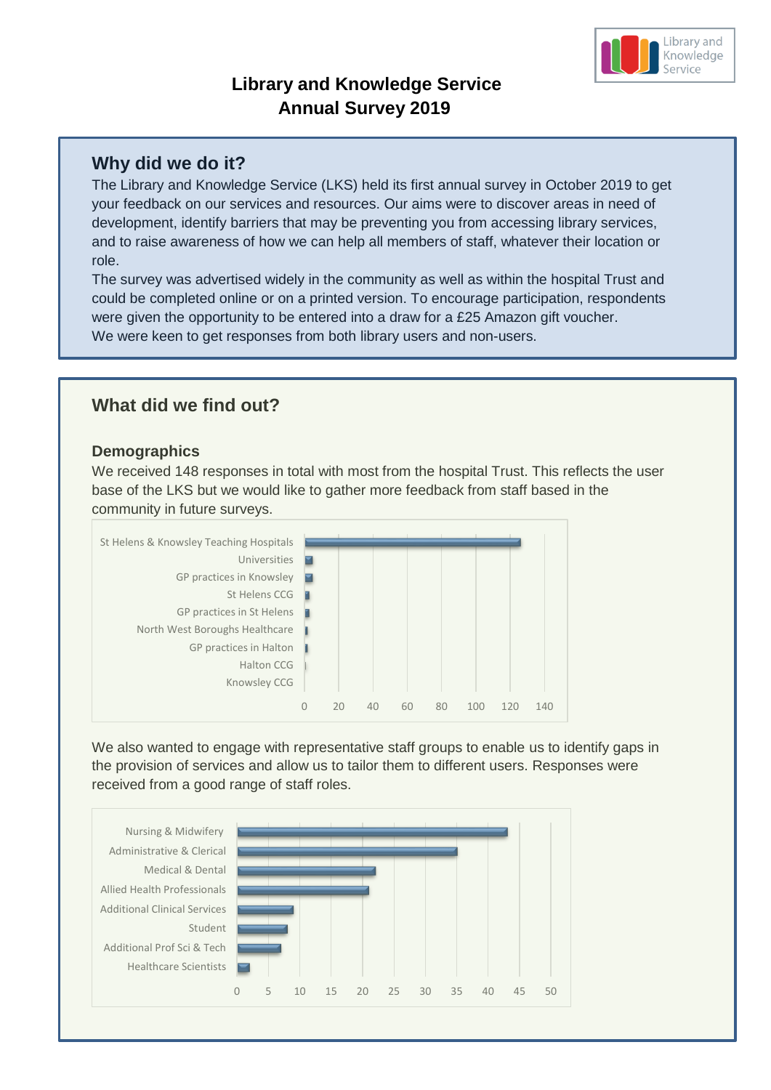# **Library and Knowledge Service Annual Survey 2019**

## **Why did we do it?**

The Library and Knowledge Service (LKS) held its first annual survey in October 2019 to get your feedback on our services and resources. Our aims were to discover areas in need of development, identify barriers that may be preventing you from accessing library services, and to raise awareness of how we can help all members of staff, whatever their location or role.

The survey was advertised widely in the community as well as within the hospital Trust and could be completed online or on a printed version. To encourage participation, respondents were given the opportunity to be entered into a draw for a £25 Amazon gift voucher. We were keen to get responses from both library users and non-users.

## **What did we find out?**

#### **Demographics**

We received 148 responses in total with most from the hospital Trust. This reflects the user base of the LKS but we would like to gather more feedback from staff based in the community in future surveys.



We also wanted to engage with representative staff groups to enable us to identify gaps in the provision of services and allow us to tailor them to different users. Responses were received from a good range of staff roles.



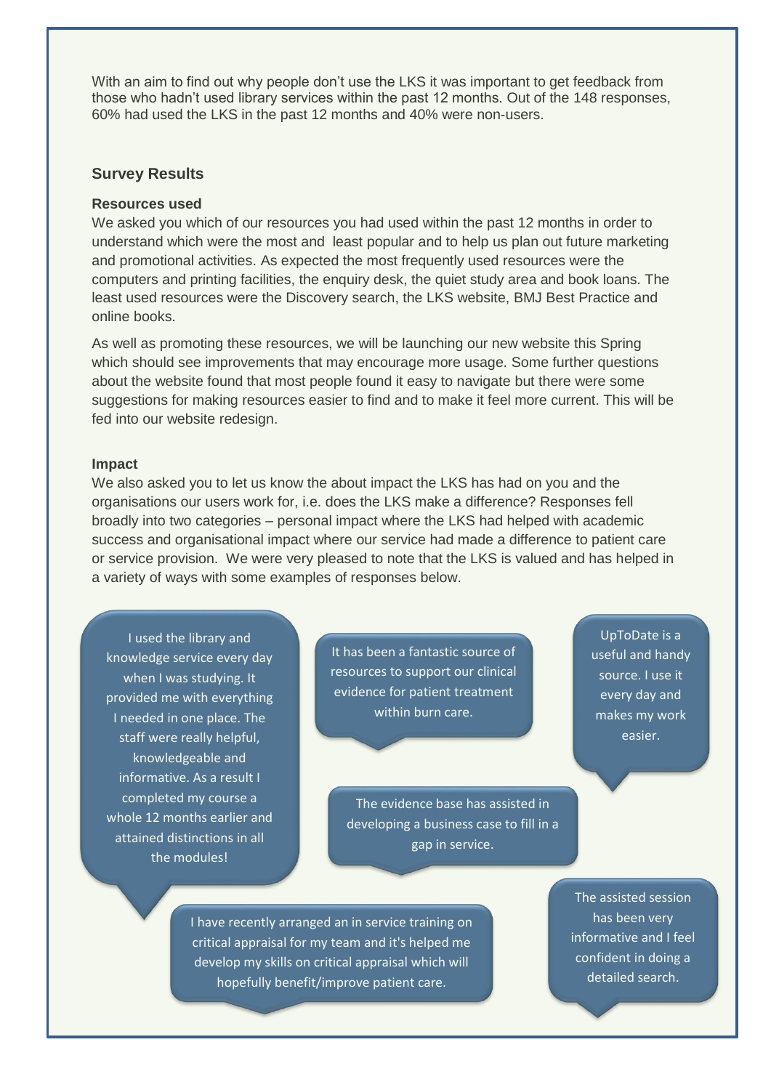With an aim to find out why people don't use the LKS it was important to get feedback from those who hadn't used library services within the past 12 months. Out of the 148 responses, 60% had used the LKS in the past 12 months and 40% were non-users.

#### **Survey Results**

#### **Resources used**

We asked you which of our resources you had used within the past 12 months in order to understand which were the most and least popular and to help us plan out future marketing and promotional activities. As expected the most frequently used resources were the computers and printing facilities, the enquiry desk, the quiet study area and book loans. The least used resources were the Discovery search, the LKS website, BMJ Best Practice and online books.

As well as promoting these resources, we will be launching our new website this Spring which should see improvements that may encourage more usage. Some further questions about the website found that most people found it easy to navigate but there were some suggestions for making resources easier to find and to make it feel more current. This will be fed into our website redesign.

#### **Impact**

We also asked you to let us know the about impact the LKS has had on you and the organisations our users work for, i.e. does the LKS make a difference? Responses fell broadly into two categories – personal impact where the LKS had helped with academic success and organisational impact where our service had made a difference to patient care or service provision. We were very pleased to note that the LKS is valued and has helped in a variety of ways with some examples of responses below.

I used the library and knowledge service every day when I was studying. It provided me with everything I needed in one place. The staff were really helpful, knowledgeable and informative. As a result I completed my course a whole 12 months earlier and attained distinctions in all the modules!

It has been a fantastic source of resources to support our clinical evidence for patient treatment within burn care.

UpToDate is a useful and handy source. I use it every day and makes my work easier.

The evidence base has assisted in developing a business case to fill in a gap in service.

> The assisted session has been very informative and I feel confident in doing a detailed search.

I have recently arranged an in service training on critical appraisal for my team and it's helped me develop my skills on critical appraisal which will hopefully benefit/improve patient care.